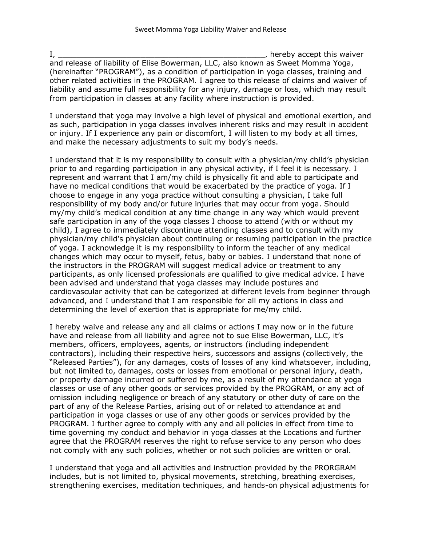I, \_\_\_\_\_\_\_\_\_\_\_\_\_\_\_\_\_\_\_\_\_\_\_\_\_\_\_\_\_\_\_\_\_\_\_\_\_\_\_\_\_\_\_\_\_, hereby accept this waiver and release of liability of Elise Bowerman, LLC, also known as Sweet Momma Yoga, (hereinafter "PROGRAM"), as a condition of participation in yoga classes, training and other related activities in the PROGRAM. I agree to this release of claims and waiver of liability and assume full responsibility for any injury, damage or loss, which may result from participation in classes at any facility where instruction is provided.

I understand that yoga may involve a high level of physical and emotional exertion, and as such, participation in yoga classes involves inherent risks and may result in accident or injury. If I experience any pain or discomfort, I will listen to my body at all times, and make the necessary adjustments to suit my body's needs.

I understand that it is my responsibility to consult with a physician/my child's physician prior to and regarding participation in any physical activity, if I feel it is necessary. I represent and warrant that I am/my child is physically fit and able to participate and have no medical conditions that would be exacerbated by the practice of yoga. If I choose to engage in any yoga practice without consulting a physician, I take full responsibility of my body and/or future injuries that may occur from yoga. Should my/my child's medical condition at any time change in any way which would prevent safe participation in any of the yoga classes I choose to attend (with or without my child), I agree to immediately discontinue attending classes and to consult with my physician/my child's physician about continuing or resuming participation in the practice of yoga. I acknowledge it is my responsibility to inform the teacher of any medical changes which may occur to myself, fetus, baby or babies. I understand that none of the instructors in the PROGRAM will suggest medical advice or treatment to any participants, as only licensed professionals are qualified to give medical advice. I have been advised and understand that yoga classes may include postures and cardiovascular activity that can be categorized at different levels from beginner through advanced, and I understand that I am responsible for all my actions in class and determining the level of exertion that is appropriate for me/my child.

I hereby waive and release any and all claims or actions I may now or in the future have and release from all liability and agree not to sue Elise Bowerman, LLC, it's members, officers, employees, agents, or instructors (including independent contractors), including their respective heirs, successors and assigns (collectively, the "Released Parties"), for any damages, costs of losses of any kind whatsoever, including, but not limited to, damages, costs or losses from emotional or personal injury, death, or property damage incurred or suffered by me, as a result of my attendance at yoga classes or use of any other goods or services provided by the PROGRAM, or any act of omission including negligence or breach of any statutory or other duty of care on the part of any of the Release Parties, arising out of or related to attendance at and participation in yoga classes or use of any other goods or services provided by the PROGRAM. I further agree to comply with any and all policies in effect from time to time governing my conduct and behavior in yoga classes at the Locations and further agree that the PROGRAM reserves the right to refuse service to any person who does not comply with any such policies, whether or not such policies are written or oral.

I understand that yoga and all activities and instruction provided by the PRORGRAM includes, but is not limited to, physical movements, stretching, breathing exercises, strengthening exercises, meditation techniques, and hands-on physical adjustments for